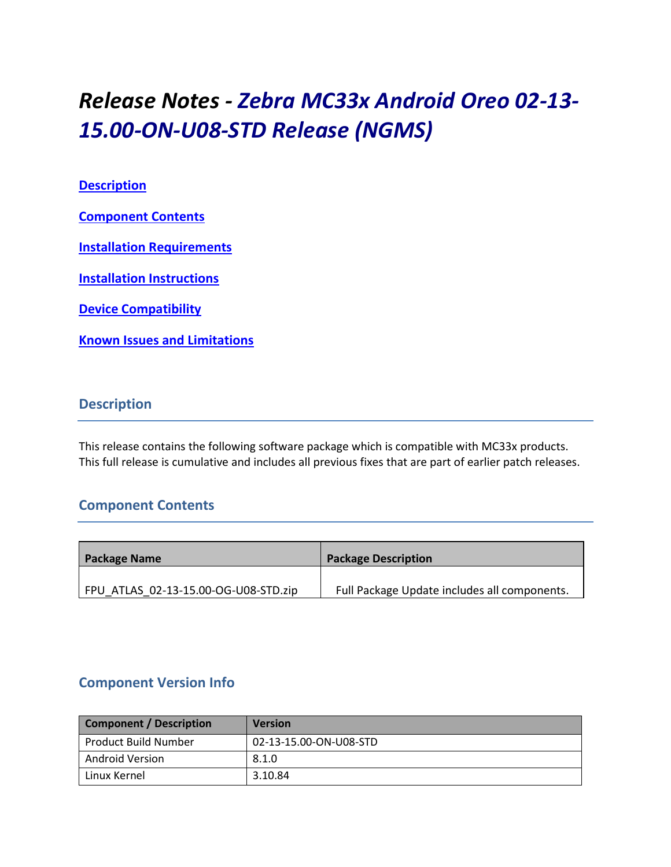# *Release Notes - Zebra MC33x Android Oreo 02-13- 15.00-ON-U08-STD Release (NGMS)*

## **[Description](#page-0-0)**

**[Component Contents](#page-0-1)**

**[Installation Requirements](#page-2-0)**

**[Installation Instructions](#page-4-0)**

**[Device Compatibility](#page-6-0)**

**Known [Issues and Limitations](#page-7-0)**

## <span id="page-0-0"></span>**Description**

This release contains the following software package which is compatible with MC33x products. This full release is cumulative and includes all previous fixes that are part of earlier patch releases.

# <span id="page-0-1"></span>**Component Contents**

| <b>Package Name</b>                  | <b>Package Description</b>                   |
|--------------------------------------|----------------------------------------------|
|                                      |                                              |
| FPU ATLAS 02-13-15.00-OG-U08-STD.zip | Full Package Update includes all components. |

# **Component Version Info**

| <b>Component / Description</b> | <b>Version</b>         |
|--------------------------------|------------------------|
| Product Build Number           | 02-13-15.00-ON-U08-STD |
| Android Version                | 8.1.0                  |
| Linux Kernel                   | 3.10.84                |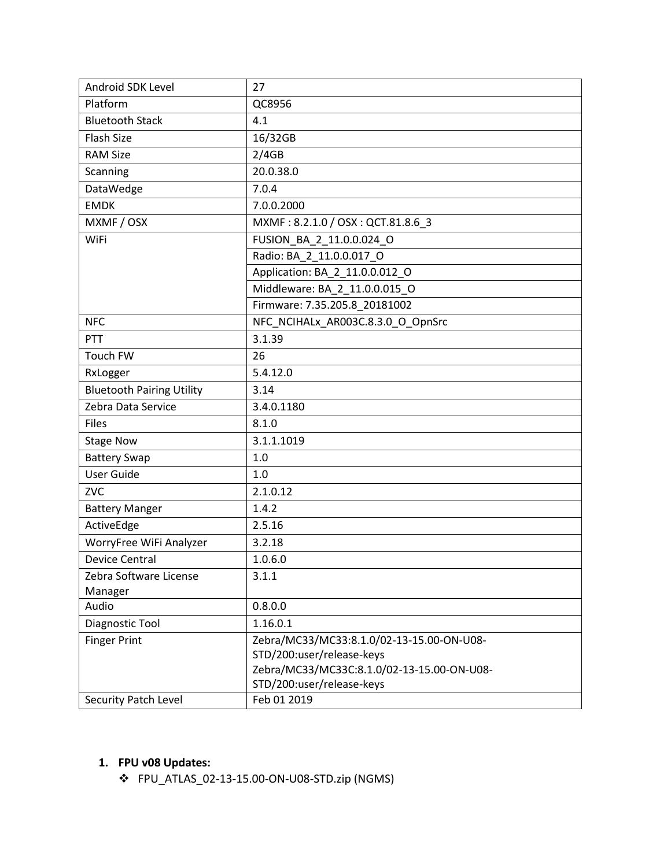| Android SDK Level                | 27                                         |  |  |
|----------------------------------|--------------------------------------------|--|--|
| Platform                         | QC8956                                     |  |  |
| <b>Bluetooth Stack</b>           | 4.1                                        |  |  |
| <b>Flash Size</b>                | 16/32GB                                    |  |  |
| <b>RAM Size</b>                  | 2/4GB                                      |  |  |
| Scanning                         | 20.0.38.0                                  |  |  |
| DataWedge                        | 7.0.4                                      |  |  |
| <b>EMDK</b>                      | 7.0.0.2000                                 |  |  |
| MXMF / OSX                       | MXMF: 8.2.1.0 / OSX: QCT.81.8.6_3          |  |  |
| WiFi                             | FUSION BA 2 11.0.0.024 O                   |  |  |
|                                  | Radio: BA_2_11.0.0.017 O                   |  |  |
|                                  | Application: BA_2_11.0.0.012_O             |  |  |
|                                  | Middleware: BA 2 11.0.0.015 O              |  |  |
|                                  | Firmware: 7.35.205.8_20181002              |  |  |
| <b>NFC</b>                       | NFC NCIHALx AR003C.8.3.0 O OpnSrc          |  |  |
| PTT                              | 3.1.39                                     |  |  |
| Touch FW                         | 26                                         |  |  |
| RxLogger                         | 5.4.12.0                                   |  |  |
| <b>Bluetooth Pairing Utility</b> | 3.14                                       |  |  |
| Zebra Data Service               | 3.4.0.1180                                 |  |  |
| <b>Files</b>                     | 8.1.0                                      |  |  |
| <b>Stage Now</b>                 | 3.1.1.1019                                 |  |  |
| <b>Battery Swap</b>              | $1.0$                                      |  |  |
| <b>User Guide</b>                | 1.0                                        |  |  |
| <b>ZVC</b>                       | 2.1.0.12                                   |  |  |
| <b>Battery Manger</b>            | 1.4.2                                      |  |  |
| ActiveEdge                       | 2.5.16                                     |  |  |
| WorryFree WiFi Analyzer          | 3.2.18                                     |  |  |
| <b>Device Central</b>            | 1.0.6.0                                    |  |  |
| Zebra Software License           | 3.1.1                                      |  |  |
| Manager                          |                                            |  |  |
| Audio                            | 0.8.0.0                                    |  |  |
| Diagnostic Tool                  | 1.16.0.1                                   |  |  |
| <b>Finger Print</b>              | Zebra/MC33/MC33:8.1.0/02-13-15.00-ON-U08-  |  |  |
|                                  | STD/200:user/release-keys                  |  |  |
|                                  | Zebra/MC33/MC33C:8.1.0/02-13-15.00-ON-U08- |  |  |
|                                  | STD/200:user/release-keys                  |  |  |
| Security Patch Level             | Feb 01 2019                                |  |  |

# **1. FPU v08 Updates:**

❖ FPU\_ATLAS\_02-13-15.00-ON-U08-STD.zip (NGMS)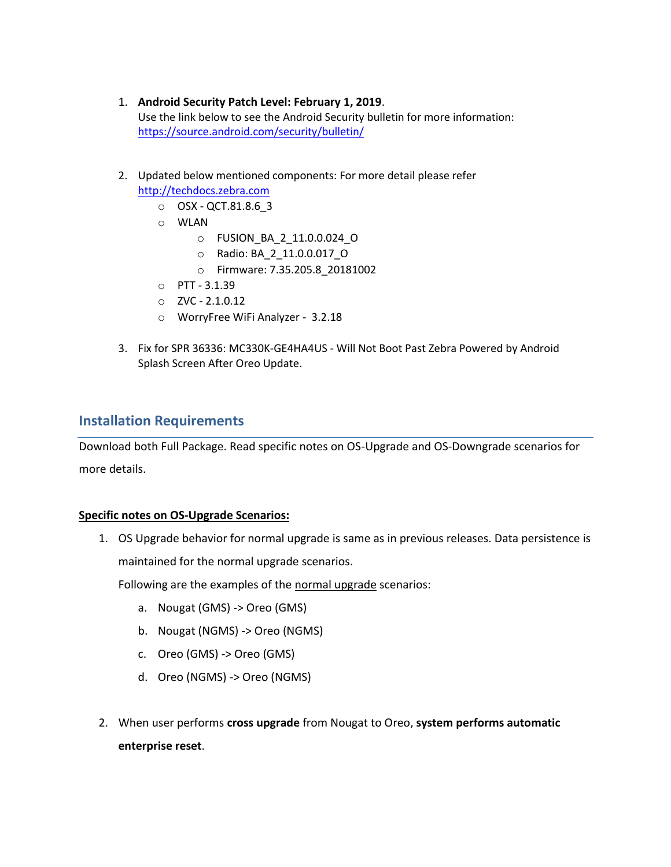- 1. **Android Security Patch Level: February 1, 2019**. Use the link below to see the Android Security bulletin for more information: <https://source.android.com/security/bulletin/>
- 2. Updated below mentioned components: For more detail please refer [http://techdocs.zebra.com](http://techdocs.zebra.com/)
	- o OSX QCT.81.8.6\_3
	- o WLAN
		- o FUSION\_BA\_2\_11.0.0.024\_O
		- o Radio: BA\_2\_11.0.0.017\_O
		- o Firmware: 7.35.205.8\_20181002
	- o PTT 3.1.39
	- o ZVC 2.1.0.12
	- o WorryFree WiFi Analyzer 3.2.18
- 3. Fix for SPR 36336: MC330K-GE4HA4US Will Not Boot Past Zebra Powered by Android Splash Screen After Oreo Update.

### <span id="page-2-0"></span>**Installation Requirements**

Download both Full Package. Read specific notes on OS-Upgrade and OS-Downgrade scenarios for more details.

#### **Specific notes on OS-Upgrade Scenarios:**

1. OS Upgrade behavior for normal upgrade is same as in previous releases. Data persistence is maintained for the normal upgrade scenarios.

Following are the examples of the normal upgrade scenarios:

- a. Nougat (GMS) -> Oreo (GMS)
- b. Nougat (NGMS) -> Oreo (NGMS)
- c. Oreo (GMS) -> Oreo (GMS)
- d. Oreo (NGMS) -> Oreo (NGMS)
- 2. When user performs **cross upgrade** from Nougat to Oreo, **system performs automatic enterprise reset**.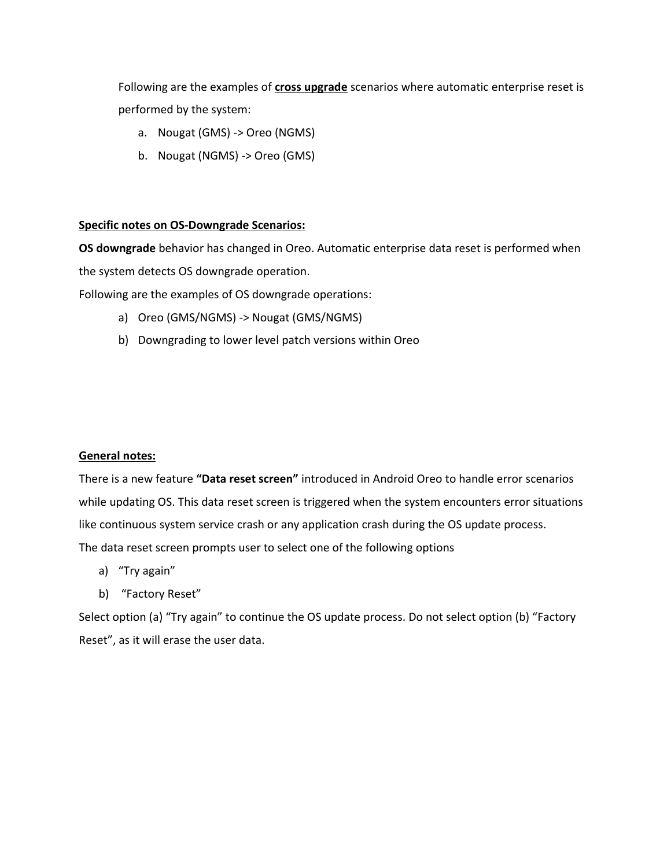Following are the examples of **cross upgrade** scenarios where automatic enterprise reset is performed by the system:

- a. Nougat (GMS) -> Oreo (NGMS)
- b. Nougat (NGMS) -> Oreo (GMS)

#### **Specific notes on OS-Downgrade Scenarios:**

**OS downgrade** behavior has changed in Oreo. Automatic enterprise data reset is performed when the system detects OS downgrade operation.

Following are the examples of OS downgrade operations:

- a) Oreo (GMS/NGMS) -> Nougat (GMS/NGMS)
- b) Downgrading to lower level patch versions within Oreo

#### **General notes:**

There is a new feature **"Data reset screen"** introduced in Android Oreo to handle error scenarios while updating OS. This data reset screen is triggered when the system encounters error situations like continuous system service crash or any application crash during the OS update process. The data reset screen prompts user to select one of the following options

- a) "Try again"
- b) "Factory Reset"

Select option (a) "Try again" to continue the OS update process. Do not select option (b) "Factory Reset", as it will erase the user data.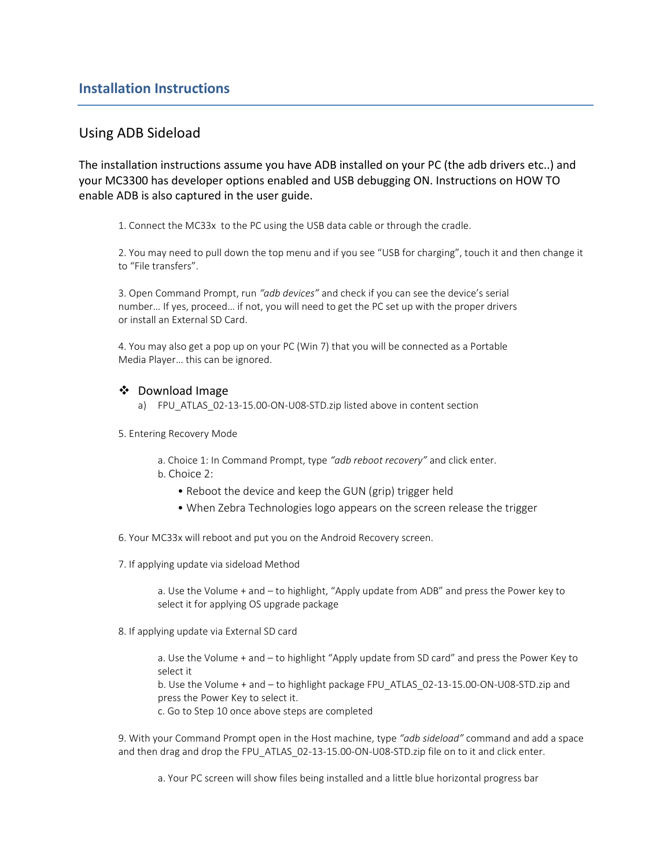## <span id="page-4-0"></span>Using ADB Sideload

The installation instructions assume you have ADB installed on your PC (the adb drivers etc..) and your MC3300 has developer options enabled and USB debugging ON. Instructions on HOW TO enable ADB is also captured in the user guide.

1. Connect the MC33x to the PC using the USB data cable or through the cradle.

2. You may need to pull down the top menu and if you see "USB for charging", touch it and then change it to "File transfers".

3. Open Command Prompt, run *"adb devices"* and check if you can see the device's serial number… If yes, proceed… if not, you will need to get the PC set up with the proper drivers or install an External SD Card.

4. You may also get a pop up on your PC (Win 7) that you will be connected as a Portable Media Player… this can be ignored.

#### ❖ Download Image

- a) FPU\_ATLAS\_02-13-15.00-ON-U08-STD.zip listed above in content section
- 5. Entering Recovery Mode

a. Choice 1: In Command Prompt, type *"adb reboot recovery"* and click enter. b. Choice 2:

- Reboot the device and keep the GUN (grip) trigger held
- When Zebra Technologies logo appears on the screen release the trigger
- 6. Your MC33x will reboot and put you on the Android Recovery screen.
- 7. If applying update via sideload Method

a. Use the Volume + and – to highlight, "Apply update from ADB" and press the Power key to select it for applying OS upgrade package

8. If applying update via External SD card

a. Use the Volume + and – to highlight "Apply update from SD card" and press the Power Key to select it

b. Use the Volume + and – to highlight package FPU\_ATLAS\_02-13-15.00-ON-U08-STD.zip and press the Power Key to select it.

c. Go to Step 10 once above steps are completed

9. With your Command Prompt open in the Host machine, type *"adb sideload"* command and add a space and then drag and drop the FPU\_ATLAS\_02-13-15.00-ON-U08-STD.zip file on to it and click enter.

a. Your PC screen will show files being installed and a little blue horizontal progress bar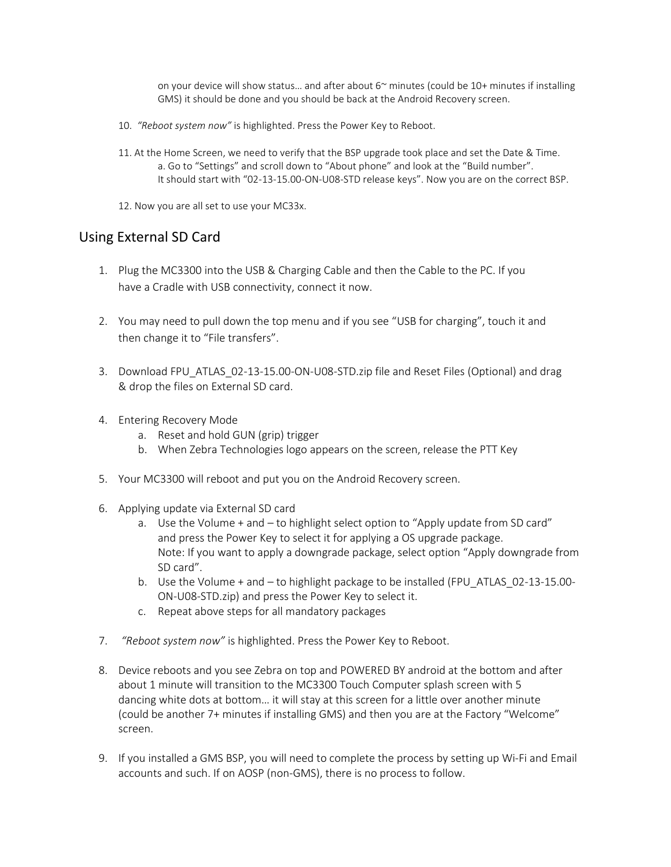on your device will show status... and after about  $6<sup>\sim</sup>$  minutes (could be 10+ minutes if installing GMS) it should be done and you should be back at the Android Recovery screen.

- 10. *"Reboot system now"* is highlighted. Press the Power Key to Reboot.
- 11. At the Home Screen, we need to verify that the BSP upgrade took place and set the Date & Time. a. Go to "Settings" and scroll down to "About phone" and look at the "Build number". It should start with "02-13-15.00-ON-U08-STD release keys". Now you are on the correct BSP.
- 12. Now you are all set to use your MC33x.

## Using External SD Card

- 1. Plug the MC3300 into the USB & Charging Cable and then the Cable to the PC. If you have a Cradle with USB connectivity, connect it now.
- 2. You may need to pull down the top menu and if you see "USB for charging", touch it and then change it to "File transfers".
- 3. Download FPU\_ATLAS\_02-13-15.00-ON-U08-STD.zip file and Reset Files (Optional) and drag & drop the files on External SD card.
- 4. Entering Recovery Mode
	- a. Reset and hold GUN (grip) trigger
	- b. When Zebra Technologies logo appears on the screen, release the PTT Key
- 5. Your MC3300 will reboot and put you on the Android Recovery screen.
- 6. Applying update via External SD card
	- a. Use the Volume + and to highlight select option to "Apply update from SD card" and press the Power Key to select it for applying a OS upgrade package. Note: If you want to apply a downgrade package, select option "Apply downgrade from SD card".
	- b. Use the Volume + and to highlight package to be installed (FPU\_ATLAS\_02-13-15.00- ON-U08-STD.zip) and press the Power Key to select it.
	- c. Repeat above steps for all mandatory packages
- 7. *"Reboot system now"* is highlighted. Press the Power Key to Reboot.
- 8. Device reboots and you see Zebra on top and POWERED BY android at the bottom and after about 1 minute will transition to the MC3300 Touch Computer splash screen with 5 dancing white dots at bottom… it will stay at this screen for a little over another minute (could be another 7+ minutes if installing GMS) and then you are at the Factory "Welcome" screen.
- 9. If you installed a GMS BSP, you will need to complete the process by setting up Wi-Fi and Email accounts and such. If on AOSP (non‐GMS), there is no process to follow.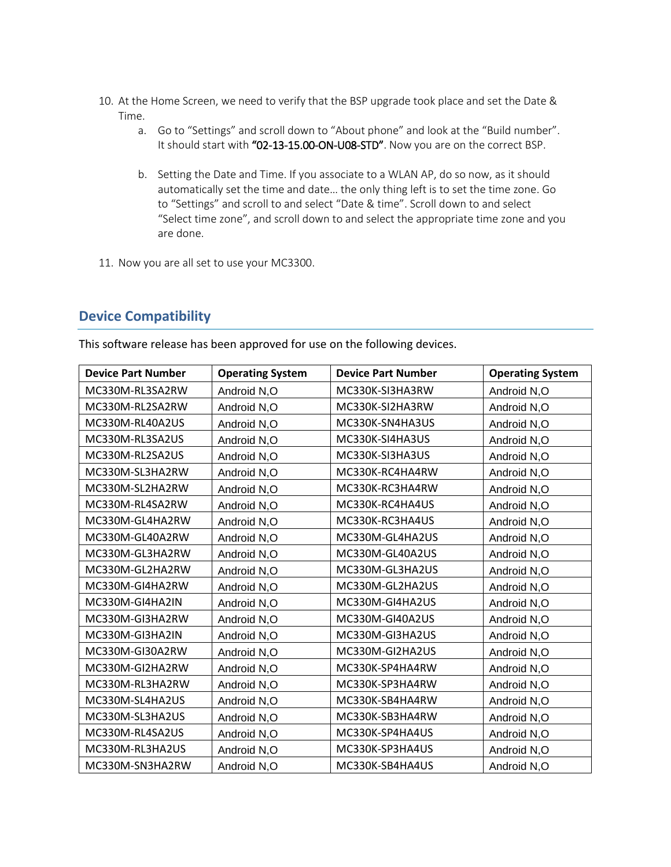- 10. At the Home Screen, we need to verify that the BSP upgrade took place and set the Date & Time.
	- a. Go to "Settings" and scroll down to "About phone" and look at the "Build number". It should start with "02-13-15.00-ON-U08-STD". Now you are on the correct BSP.
	- b. Setting the Date and Time. If you associate to a WLAN AP, do so now, as it should automatically set the time and date… the only thing left is to set the time zone. Go to "Settings" and scroll to and select "Date & time". Scroll down to and select "Select time zone", and scroll down to and select the appropriate time zone and you are done.
- 11. Now you are all set to use your MC3300.

# <span id="page-6-0"></span>**Device Compatibility**

This software release has been approved for use on the following devices.

| <b>Device Part Number</b> | <b>Operating System</b> | <b>Device Part Number</b> | <b>Operating System</b> |
|---------------------------|-------------------------|---------------------------|-------------------------|
| MC330M-RL3SA2RW           | Android N,O             | MC330K-SI3HA3RW           | Android N,O             |
| MC330M-RL2SA2RW           | Android N,O             | MC330K-SI2HA3RW           | Android N,O             |
| MC330M-RL40A2US           | Android N,O             | MC330K-SN4HA3US           | Android N,O             |
| MC330M-RL3SA2US           | Android N,O             | MC330K-SI4HA3US           | Android N,O             |
| MC330M-RL2SA2US           | Android N,O             | MC330K-SI3HA3US           | Android N,O             |
| MC330M-SL3HA2RW           | Android N,O             | MC330K-RC4HA4RW           | Android N,O             |
| MC330M-SL2HA2RW           | Android N,O             | MC330K-RC3HA4RW           | Android N,O             |
| MC330M-RL4SA2RW           | Android N,O             | MC330K-RC4HA4US           | Android N,O             |
| MC330M-GL4HA2RW           | Android N,O             | MC330K-RC3HA4US           | Android N,O             |
| MC330M-GL40A2RW           | Android N,O             | MC330M-GL4HA2US           | Android N,O             |
| MC330M-GL3HA2RW           | Android N,O             | MC330M-GL40A2US           | Android N,O             |
| MC330M-GL2HA2RW           | Android N,O             | MC330M-GL3HA2US           | Android N,O             |
| MC330M-GI4HA2RW           | Android N,O             | MC330M-GL2HA2US           | Android N,O             |
| MC330M-GI4HA2IN           | Android N,O             | MC330M-GI4HA2US           | Android N,O             |
| MC330M-GI3HA2RW           | Android N,O             | MC330M-GI40A2US           | Android N,O             |
| MC330M-GI3HA2IN           | Android N,O             | MC330M-GI3HA2US           | Android N,O             |
| MC330M-GI30A2RW           | Android N,O             | MC330M-GI2HA2US           | Android N,O             |
| MC330M-GI2HA2RW           | Android N,O             | MC330K-SP4HA4RW           | Android N,O             |
| MC330M-RL3HA2RW           | Android N,O             | MC330K-SP3HA4RW           | Android N,O             |
| MC330M-SL4HA2US           | Android N,O             | MC330K-SB4HA4RW           | Android N,O             |
| MC330M-SL3HA2US           | Android N,O             | MC330K-SB3HA4RW           | Android N,O             |
| MC330M-RL4SA2US           | Android N,O             | MC330K-SP4HA4US           | Android N,O             |
| MC330M-RL3HA2US           | Android N,O             | MC330K-SP3HA4US           | Android N,O             |
| MC330M-SN3HA2RW           | Android N,O             | MC330K-SB4HA4US           | Android N.O             |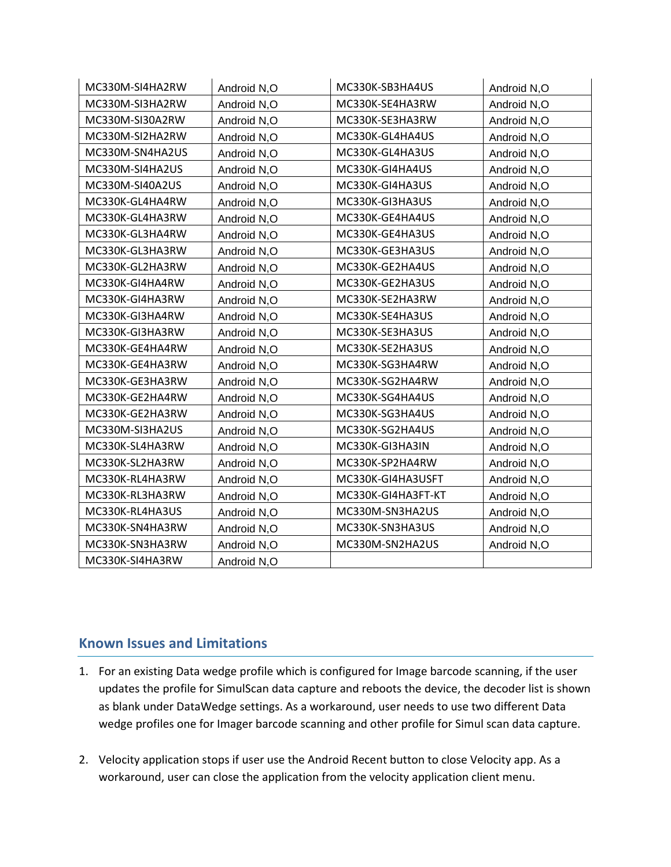| MC330M-SI4HA2RW | Android N,O | MC330K-SB3HA4US    | Android N,O |
|-----------------|-------------|--------------------|-------------|
| MC330M-SI3HA2RW | Android N,O | MC330K-SE4HA3RW    | Android N,O |
| MC330M-SI30A2RW | Android N,O | MC330K-SE3HA3RW    | Android N,O |
| MC330M-SI2HA2RW | Android N,O | MC330K-GL4HA4US    | Android N,O |
| MC330M-SN4HA2US | Android N,O | MC330K-GL4HA3US    | Android N,O |
| MC330M-SI4HA2US | Android N,O | MC330K-GI4HA4US    | Android N,O |
| MC330M-SI40A2US | Android N,O | MC330K-GI4HA3US    | Android N,O |
| MC330K-GL4HA4RW | Android N,O | MC330K-GI3HA3US    | Android N,O |
| MC330K-GL4HA3RW | Android N,O | MC330K-GE4HA4US    | Android N,O |
| MC330K-GL3HA4RW | Android N,O | MC330K-GE4HA3US    | Android N,O |
| MC330K-GL3HA3RW | Android N,O | MC330K-GE3HA3US    | Android N,O |
| MC330K-GL2HA3RW | Android N,O | MC330K-GE2HA4US    | Android N,O |
| MC330K-GI4HA4RW | Android N,O | MC330K-GE2HA3US    | Android N,O |
| MC330K-GI4HA3RW | Android N,O | MC330K-SE2HA3RW    | Android N,O |
| MC330K-GI3HA4RW | Android N,O | MC330K-SE4HA3US    | Android N,O |
| MC330K-GI3HA3RW | Android N,O | MC330K-SE3HA3US    | Android N,O |
| MC330K-GE4HA4RW | Android N,O | MC330K-SE2HA3US    | Android N,O |
| MC330K-GE4HA3RW | Android N,O | MC330K-SG3HA4RW    | Android N,O |
| MC330K-GE3HA3RW | Android N,O | MC330K-SG2HA4RW    | Android N,O |
| MC330K-GE2HA4RW | Android N,O | MC330K-SG4HA4US    | Android N,O |
| MC330K-GE2HA3RW | Android N,O | MC330K-SG3HA4US    | Android N,O |
| MC330M-SI3HA2US | Android N,O | MC330K-SG2HA4US    | Android N,O |
| MC330K-SL4HA3RW | Android N,O | MC330K-GI3HA3IN    | Android N,O |
| MC330K-SL2HA3RW | Android N,O | MC330K-SP2HA4RW    | Android N,O |
| MC330K-RL4HA3RW | Android N,O | MC330K-GI4HA3USFT  | Android N,O |
| MC330K-RL3HA3RW | Android N,O | MC330K-GI4HA3FT-KT | Android N,O |
| MC330K-RL4HA3US | Android N,O | MC330M-SN3HA2US    | Android N,O |
| MC330K-SN4HA3RW | Android N,O | MC330K-SN3HA3US    | Android N,O |
| MC330K-SN3HA3RW | Android N,O | MC330M-SN2HA2US    | Android N,O |
| MC330K-SI4HA3RW | Android N,O |                    |             |

# <span id="page-7-0"></span>**Known Issues and Limitations**

- 1. For an existing Data wedge profile which is configured for Image barcode scanning, if the user updates the profile for SimulScan data capture and reboots the device, the decoder list is shown as blank under DataWedge settings. As a workaround, user needs to use two different Data wedge profiles one for Imager barcode scanning and other profile for Simul scan data capture.
- 2. Velocity application stops if user use the Android Recent button to close Velocity app. As a workaround, user can close the application from the velocity application client menu.